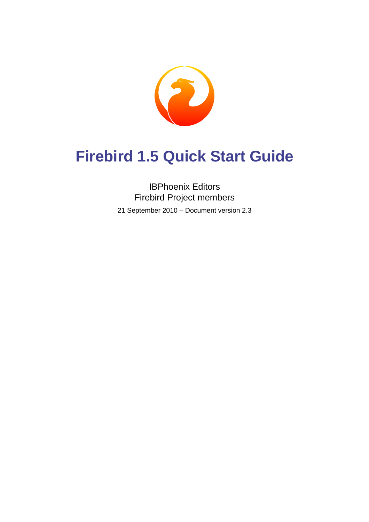

# **Firebird 1.5 Quick Start Guide**

## IBPhoenix Editors Firebird Project members

21 September 2010 – Document version 2.3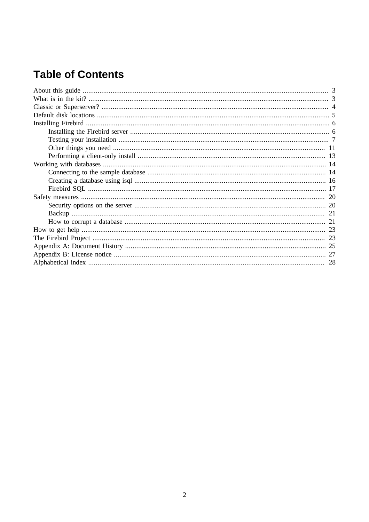# **Table of Contents**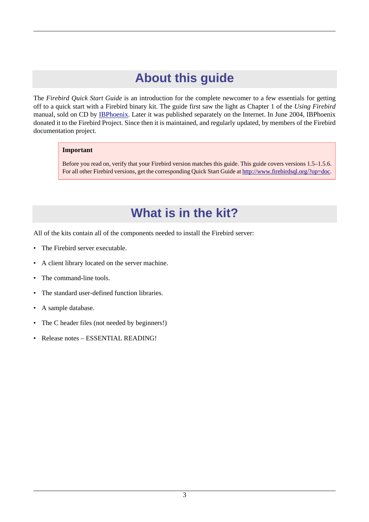# **About this guide**

<span id="page-2-0"></span>The *Firebird Quick Start Guide* is an introduction for the complete newcomer to a few essentials for getting off to a quick start with a Firebird binary kit. The guide first saw the light as Chapter 1 of the *Using Firebird* manual, sold on CD by [IBPhoenix.](http://www.ibphoenix.com) Later it was published separately on the Internet. In June 2004, IBPhoenix donated it to the Firebird Project. Since then it is maintained, and regularly updated, by members of the Firebird documentation project.

### **Important**

<span id="page-2-1"></span>Before you read on, verify that your Firebird version matches this guide. This guide covers versions 1.5–1.5.6. For all other Firebird versions, get the corresponding Quick Start Guide at<http://www.firebirdsql.org/?op=doc>.

# <span id="page-2-2"></span>**What is in the kit?**

All of the kits contain all of the components needed to install the Firebird server:

- The Firebird server executable.
- A client library located on the server machine.
- The command-line tools.
- The standard user-defined function libraries.
- A sample database.
- The C header files (not needed by beginners!)
- Release notes ESSENTIAL READING!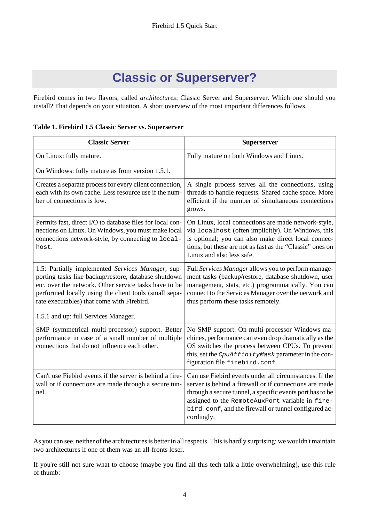# <span id="page-3-1"></span>**Classic or Superserver?**

<span id="page-3-0"></span>Firebird comes in two flavors, called *architectures*: Classic Server and Superserver. Which one should you install? That depends on your situation. A short overview of the most important differences follows.

|  |  |  | Table 1. Firebird 1.5 Classic Server vs. Superserver |
|--|--|--|------------------------------------------------------|
|  |  |  |                                                      |

| <b>Classic Server</b>                                                                                                                                                                                                                                                     | Superserver                                                                                                                                                                                                                                                                                            |
|---------------------------------------------------------------------------------------------------------------------------------------------------------------------------------------------------------------------------------------------------------------------------|--------------------------------------------------------------------------------------------------------------------------------------------------------------------------------------------------------------------------------------------------------------------------------------------------------|
| On Linux: fully mature.                                                                                                                                                                                                                                                   | Fully mature on both Windows and Linux.                                                                                                                                                                                                                                                                |
| On Windows: fully mature as from version 1.5.1.                                                                                                                                                                                                                           |                                                                                                                                                                                                                                                                                                        |
| Creates a separate process for every client connection,<br>each with its own cache. Less resource use if the num-<br>ber of connections is low.                                                                                                                           | A single process serves all the connections, using<br>threads to handle requests. Shared cache space. More<br>efficient if the number of simultaneous connections<br>grows.                                                                                                                            |
| Permits fast, direct I/O to database files for local con-<br>nections on Linux. On Windows, you must make local<br>connections network-style, by connecting to local-<br>host.                                                                                            | On Linux, local connections are made network-style,<br>via localhost (often implicitly). On Windows, this<br>is optional; you can also make direct local connec-<br>tions, but these are not as fast as the "Classic" ones on<br>Linux and also less safe.                                             |
| 1.5: Partially implemented Services Manager, sup-<br>porting tasks like backup/restore, database shutdown<br>etc. over the network. Other service tasks have to be<br>performed locally using the client tools (small sepa-<br>rate executables) that come with Firebird. | Full Services Manager allows you to perform manage-<br>ment tasks (backup/restore, database shutdown, user<br>management, stats, etc.) programmatically. You can<br>connect to the Services Manager over the network and<br>thus perform these tasks remotely.                                         |
| 1.5.1 and up: full Services Manager.                                                                                                                                                                                                                                      |                                                                                                                                                                                                                                                                                                        |
| SMP (symmetrical multi-processor) support. Better<br>performance in case of a small number of multiple<br>connections that do not influence each other.                                                                                                                   | No SMP support. On multi-processor Windows ma-<br>chines, performance can even drop dramatically as the<br>OS switches the process between CPUs. To prevent<br>this, set the CpuAffinityMask parameter in the con-<br>figuration file firebird.conf.                                                   |
| Can't use Fiebird events if the server is behind a fire-<br>wall or if connections are made through a secure tun-<br>nel.                                                                                                                                                 | Can use Fiebird events under all circumstances. If the<br>server is behind a firewall or if connections are made<br>through a secure tunnel, a specific events port has to be<br>assigned to the RemoteAuxPort variable in fire-<br>bird.conf, and the firewall or tunnel configured ac-<br>cordingly. |

As you can see, neither of the architectures is better in all respects. This is hardly surprising: we wouldn't maintain two architectures if one of them was an all-fronts loser.

If you're still not sure what to choose (maybe you find all this tech talk a little overwhelming), use this rule of thumb: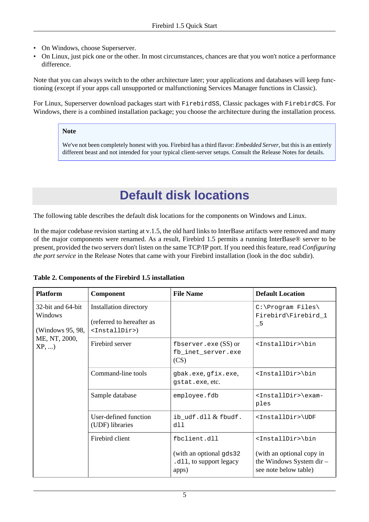- On Windows, choose Superserver.
- On Linux, just pick one or the other. In most circumstances, chances are that you won't notice a performance difference.

Note that you can always switch to the other architecture later; your applications and databases will keep functioning (except if your apps call unsupported or malfunctioning Services Manager functions in Classic).

For Linux, Superserver download packages start with FirebirdSS, Classic packages with FirebirdCS. For Windows, there is a combined installation package; you choose the architecture during the installation process.

### **Note**

<span id="page-4-0"></span>We've not been completely honest with you. Firebird has a third flavor: *Embedded Server*, but this is an entirely different beast and not intended for your typical client-server setups. Consult the Release Notes for details.

# <span id="page-4-2"></span>**Default disk locations**

The following table describes the default disk locations for the components on Windows and Linux.

In the major codebase revision starting at v.1.5, the old hard links to InterBase artifacts were removed and many of the major components were renamed. As a result, Firebird 1.5 permits a running InterBase® server to be present, provided the two servers don't listen on the same TCP/IP port. If you need this feature, read *Configuring the port service* in the Release Notes that came with your Firebird installation (look in the doc subdir).

| <b>Platform</b>                                  | Component                                                                         | <b>File Name</b>                                             | <b>Default Location</b>                                                        |
|--------------------------------------------------|-----------------------------------------------------------------------------------|--------------------------------------------------------------|--------------------------------------------------------------------------------|
| 32-bit and 64-bit<br>Windows<br>(Windows 95, 98, | Installation directory<br>(referred to hereafter as<br><installdir>)</installdir> |                                                              | C:\Program Files\<br>Firebird\Firebird_1<br>$-5$                               |
| ME, NT, 2000,<br>$XP, \ldots$                    | Firebird server                                                                   | fbserver.exe $(SS)$ or<br>fb_inet_server.exe<br>(CS)         | <installdir>\bin</installdir>                                                  |
|                                                  | Command-line tools                                                                | gbak.exe, gfix.exe,<br>qstat.exe.etc.                        | <installdir>\bin</installdir>                                                  |
|                                                  | Sample database                                                                   | employee.fdb                                                 | <installdir>\exam-<br/>ples</installdir>                                       |
|                                                  | User-defined function<br>(UDF) libraries                                          | $ib\_udf.dll & fbudf.$<br>dll                                | <installdir>\UDF</installdir>                                                  |
|                                                  | Firebird client                                                                   | fbclient.dll                                                 | <installdir>\bin</installdir>                                                  |
|                                                  |                                                                                   | (with an optional gds 32<br>.dll, to support legacy<br>apps) | (with an optional copy in<br>the Windows System dir -<br>see note below table) |

### <span id="page-4-1"></span>**Table 2. Components of the Firebird 1.5 installation**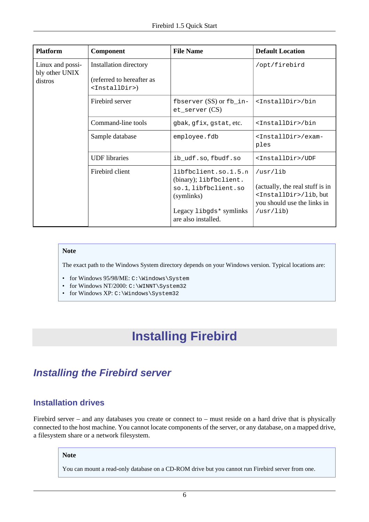| <b>Platform</b>                               | <b>Component</b>                                                                  | <b>File Name</b>                                                                                                                       | <b>Default Location</b>                                                                                                         |
|-----------------------------------------------|-----------------------------------------------------------------------------------|----------------------------------------------------------------------------------------------------------------------------------------|---------------------------------------------------------------------------------------------------------------------------------|
| Linux and possi-<br>bly other UNIX<br>distros | Installation directory<br>(referred to hereafter as<br><installdir>)</installdir> |                                                                                                                                        | /opt/firebird                                                                                                                   |
|                                               | Firebird server                                                                   | fbserver $(SS)$ or $fb\_in$ -<br>$et\_server(CS)$                                                                                      | <installdir>/bin</installdir>                                                                                                   |
|                                               | Command-line tools                                                                | gbak, gfix, gstat, etc.                                                                                                                | <installdir>/bin</installdir>                                                                                                   |
|                                               | Sample database                                                                   | employee.fdb                                                                                                                           | <installdir>/exam-<br/>ples</installdir>                                                                                        |
|                                               | <b>UDF</b> libraries                                                              | ib_udf.so, fbudf.so                                                                                                                    | <installdir>/UDF</installdir>                                                                                                   |
|                                               | Firebird client                                                                   | libfbclient.so.1.5.n<br>(binary); libfbclient.<br>so.1, libfbclient.so<br>(symlinks)<br>Legacy libgds* symlinks<br>are also installed. | /usr/lib<br>(actually, the real stuff is in<br><installdir>/lib, but<br/>you should use the links in<br/>/usr(lib)</installdir> |

#### **Note**

The exact path to the Windows System directory depends on your Windows version. Typical locations are:

- for Windows 95/98/ME: C:\Windows\System
- for Windows NT/2000: C:\WINNT\System32
- <span id="page-5-0"></span>• for Windows XP: C:\Windows\System32

# <span id="page-5-2"></span>**Installing Firebird**

# <span id="page-5-4"></span><span id="page-5-1"></span>**Installing the Firebird server**

## <span id="page-5-3"></span>**Installation drives**

Firebird server – and any databases you create or connect to – must reside on a hard drive that is physically connected to the host machine. You cannot locate components of the server, or any database, on a mapped drive, a filesystem share or a network filesystem.

### **Note**

You can mount a read-only database on a CD-ROM drive but you cannot run Firebird server from one.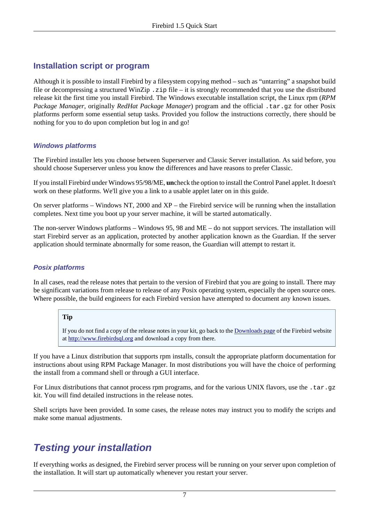## <span id="page-6-2"></span>**Installation script or program**

Although it is possible to install Firebird by a filesystem copying method – such as "untarring" a snapshot build file or decompressing a structured WinZip .zip file – it is strongly recommended that you use the distributed release kit the first time you install Firebird. The Windows executable installation script, the Linux rpm (*RPM Package Manager*, originally *RedHat Package Manager*) program and the official .tar.gz for other Posix platforms perform some essential setup tasks. Provided you follow the instructions correctly, there should be nothing for you to do upon completion but log in and go!

## **Windows platforms**

The Firebird installer lets you choose between Superserver and Classic Server installation. As said before, you should choose Superserver unless you know the differences and have reasons to prefer Classic.

If you install Firebird under Windows 95/98/ME, **un**check the option to install the Control Panel applet. It doesn't work on these platforms. We'll give you a link to a usable applet later on in this guide.

On server platforms – Windows NT, 2000 and XP – the Firebird service will be running when the installation completes. Next time you boot up your server machine, it will be started automatically.

<span id="page-6-1"></span>The non-server Windows platforms – Windows 95, 98 and ME – do not support services. The installation will start Firebird server as an application, protected by another application known as the Guardian. If the server application should terminate abnormally for some reason, the Guardian will attempt to restart it.

## **Posix platforms**

In all cases, read the release notes that pertain to the version of Firebird that you are going to install. There may be significant variations from release to release of any Posix operating system, especially the open source ones. Where possible, the build engineers for each Firebird version have attempted to document any known issues.

## **Tip**

If you do not find a copy of the release notes in your kit, go back to the [Downloads page](http://www.firebirdsql.org/index.php?op=files) of the Firebird website at<http://www.firebirdsql.org>and download a copy from there.

If you have a Linux distribution that supports rpm installs, consult the appropriate platform documentation for instructions about using RPM Package Manager. In most distributions you will have the choice of performing the install from a command shell or through a GUI interface.

For Linux distributions that cannot process rpm programs, and for the various UNIX flavors, use the .tar.gz kit. You will find detailed instructions in the release notes.

<span id="page-6-0"></span>Shell scripts have been provided. In some cases, the release notes may instruct you to modify the scripts and make some manual adjustments.

# <span id="page-6-3"></span>**Testing your installation**

If everything works as designed, the Firebird server process will be running on your server upon completion of the installation. It will start up automatically whenever you restart your server.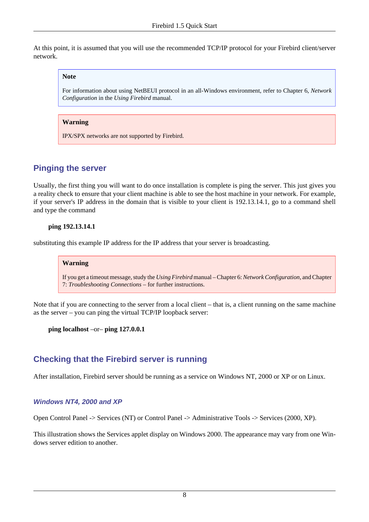At this point, it is assumed that you will use the recommended TCP/IP protocol for your Firebird client/server network.

#### **Note**

For information about using NetBEUI protocol in an all-Windows environment, refer to Chapter 6, *Network Configuration* in the *Using Firebird* manual.

#### **Warning**

IPX/SPX networks are not supported by Firebird.

## <span id="page-7-1"></span>**Pinging the server**

Usually, the first thing you will want to do once installation is complete is ping the server. This just gives you a reality check to ensure that your client machine is able to see the host machine in your network. For example, if your server's IP address in the domain that is visible to your client is 192.13.14.1, go to a command shell and type the command

#### **ping 192.13.14.1**

substituting this example IP address for the IP address that your server is broadcasting.

#### **Warning**

If you get a timeout message, study the *Using Firebird* manual – Chapter 6: *Network Configuration*, and Chapter 7: *Troubleshooting Connections* – for further instructions.

Note that if you are connecting to the server from a local client – that is, a client running on the same machine as the server – you can ping the virtual TCP/IP loopback server:

**ping localhost** –or– **ping 127.0.0.1**

## <span id="page-7-0"></span>**Checking that the Firebird server is running**

After installation, Firebird server should be running as a service on Windows NT, 2000 or XP or on Linux.

### **Windows NT4, 2000 and XP**

Open Control Panel -> Services (NT) or Control Panel -> Administrative Tools -> Services (2000, XP).

<span id="page-7-2"></span>This illustration shows the Services applet display on Windows 2000. The appearance may vary from one Windows server edition to another.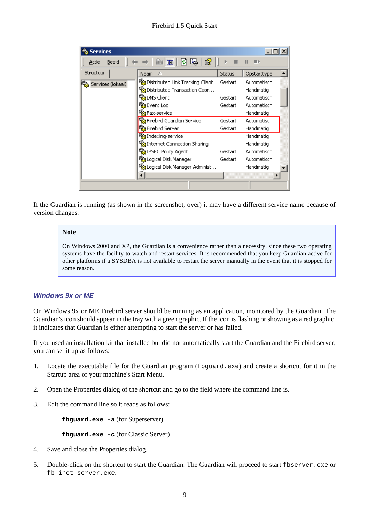| <b>Services</b>          |                                   |               |             |  |
|--------------------------|-----------------------------------|---------------|-------------|--|
| Beeld<br>Actie           | 暘<br>É<br>盯<br>Ф                  |               |             |  |
| Structuur                | Naam                              | <b>Status</b> | Opstarttype |  |
| န့်မှူ Services (lokaal) | %Distributed Link Tracking Client | Gestart       | Automatisch |  |
|                          | %Distributed Transaction Coor     |               | Handmatig   |  |
|                          | %BaDNS Client                     | Gestart       | Automatisch |  |
|                          | %Bevent Log                       | Gestart       | Automatisch |  |
|                          | %BFax-service                     |               | Handmatig   |  |
|                          | %BiFirebird Guardian Service      | Gestart       | Automatisch |  |
|                          | Firebird Server                   | Gestart       | Handmatig   |  |
|                          | % Indexing-service                |               | Handmatig   |  |
|                          | %Dinternet Connection Sharing     |               | Handmatig   |  |
|                          | 經 IPSEC Policy Agent              | Gestart       | Automatisch |  |
|                          | %Logical Disk Manager             | Gestart       | Automatisch |  |
|                          | %aLogical Disk Manager Administ…  |               | Handmatig   |  |
|                          |                                   |               |             |  |
|                          |                                   |               |             |  |

<span id="page-8-0"></span>If the Guardian is running (as shown in the screenshot, over) it may have a different service name because of version changes.

### **Note**

On Windows 2000 and XP, the Guardian is a convenience rather than a necessity, since these two operating systems have the facility to watch and restart services. It is recommended that you keep Guardian active for other platforms if a SYSDBA is not available to restart the server manually in the event that it is stopped for some reason.

### **Windows 9x or ME**

<span id="page-8-1"></span>On Windows 9x or ME Firebird server should be running as an application, monitored by the Guardian. The Guardian's icon should appear in the tray with a green graphic. If the icon is flashing or showing as a red graphic, it indicates that Guardian is either attempting to start the server or has failed.

If you used an installation kit that installed but did not automatically start the Guardian and the Firebird server, you can set it up as follows:

- 1. Locate the executable file for the Guardian program (fbguard.exe) and create a shortcut for it in the Startup area of your machine's Start Menu.
- 2. Open the Properties dialog of the shortcut and go to the field where the command line is.
- 3. Edit the command line so it reads as follows:

**fbguard.exe -a** (for Superserver)

**fbguard.exe -c** (for Classic Server)

- 4. Save and close the Properties dialog.
- 5. Double-click on the shortcut to start the Guardian. The Guardian will proceed to start fbserver.exe or fb inet server.exe.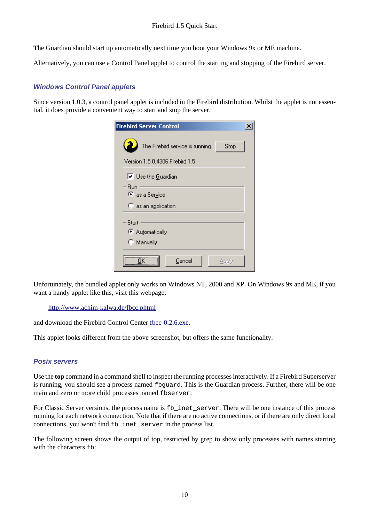The Guardian should start up automatically next time you boot your Windows 9x or ME machine.

Alternatively, you can use a Control Panel applet to control the starting and stopping of the Firebird server.

## <span id="page-9-0"></span>**Windows Control Panel applets**

Since version 1.0.3, a control panel applet is included in the Firebird distribution. Whilst the applet is not essential, it does provide a convenient way to start and stop the server.

| <b>Firebird Server Control</b>   |       |  |
|----------------------------------|-------|--|
| The Firebird service is running. | Stop  |  |
| Version 1.5.0.4306 Firebird 1.5  |       |  |
| $\nabla$ Use the Guardian        |       |  |
| Run<br>● as a Service            |       |  |
| $\heartsuit$ as an application   |       |  |
| Start<br>C Automatically         |       |  |
| C Manually                       |       |  |
| ΠK<br>Cancel                     | Apply |  |

Unfortunately, the bundled applet only works on Windows NT, 2000 and XP. On Windows 9x and ME, if you want a handy applet like this, visit this webpage:

<http://www.achim-kalwa.de/fbcc.phtml>

and download the Firebird Control Center [fbcc-0.2.6.exe](http://www.achim-kalwa.de/dl/fbcc-0.2.6.exe).

This applet looks different from the above screenshot, but offers the same functionality.

### **Posix servers**

<span id="page-9-1"></span>Use the **top** command in a command shell to inspect the running processes interactively. If a Firebird Superserver is running, you should see a process named fbguard. This is the Guardian process. Further, there will be one main and zero or more child processes named fbserver.

For Classic Server versions, the process name is fb\_inet\_server. There will be one instance of this process running for each network connection. Note that if there are no active connections, or if there are only direct local connections, you won't find fb\_inet\_server in the process list.

The following screen shows the output of top, restricted by grep to show only processes with names starting with the characters  $fb$ :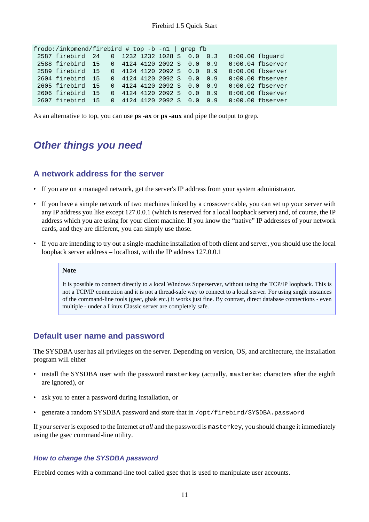| frodo:/inkomend/firebird # top -b -n1   grep fb |  |                              |  |  |                                             |                    |
|-------------------------------------------------|--|------------------------------|--|--|---------------------------------------------|--------------------|
| 2587 firebird 24 0 1232 1232 1028 S 0.0 0.3     |  |                              |  |  | $0:00.00$ fbquard                           |                    |
| 2588 firebird 15 0 4124 4120 2092 S 0.0 0.9     |  |                              |  |  |                                             | $0:00.04$ fbserver |
| 2589 firebird 15                                |  | $0$ 4124 4120 2092 S 0.0 0.9 |  |  |                                             | $0:00.00$ fbserver |
| 2604 firebird 15 0 4124 4120 2092 S 0.0 0.9     |  |                              |  |  |                                             | $0:00.00$ fbserver |
| 2605 firebird 15                                |  | 0 4124 4120 2092 S 0.0 0.9   |  |  |                                             | $0:00.02$ fbserver |
| 2606 firebird 15                                |  | $0$ 4124 4120 2092 S 0.0 0.9 |  |  |                                             | $0:00.00$ fbserver |
| 2607 firebird 15                                |  |                              |  |  | 0 4124 4120 2092 S 0.0 0.9 0:00.00 fbserver |                    |

<span id="page-10-0"></span>As an alternative to top, you can use **ps -ax** or **ps -aux** and pipe the output to grep.

## **Other things you need**

## <span id="page-10-2"></span>**A network address for the server**

- If you are on a managed network, get the server's IP address from your system administrator.
- If you have a simple network of two machines linked by a crossover cable, you can set up your server with any IP address you like except 127.0.0.1 (which is reserved for a local loopback server) and, of course, the IP address which you are using for your client machine. If you know the "native" IP addresses of your network cards, and they are different, you can simply use those.
- If you are intending to try out a single-machine installation of both client and server, you should use the local loopback server address – localhost, with the IP address 127.0.0.1

#### **Note**

It is possible to connect directly to a local Windows Superserver, without using the TCP/IP loopback. This is not a TCP/IP connection and it is not a thread-safe way to connect to a local server. For using single instances of the command-line tools (gsec, gbak etc.) it works just fine. By contrast, direct database connections - even multiple - under a Linux Classic server are completely safe.

## <span id="page-10-3"></span>**Default user name and password**

<span id="page-10-4"></span>The SYSDBA user has all privileges on the server. Depending on version, OS, and architecture, the installation program will either

- install the SYSDBA user with the password masterkey (actually, masterke: characters after the eighth are ignored), or
- ask you to enter a password during installation, or
- generate a random SYSDBA password and store that in /opt/firebird/SYSDBA.password

If your server is exposed to the Internet *at all* and the password is masterkey, you should change it immediately using the gsec command-line utility.

#### <span id="page-10-1"></span>**How to change the SYSDBA password**

Firebird comes with a command-line tool called gsec that is used to manipulate user accounts.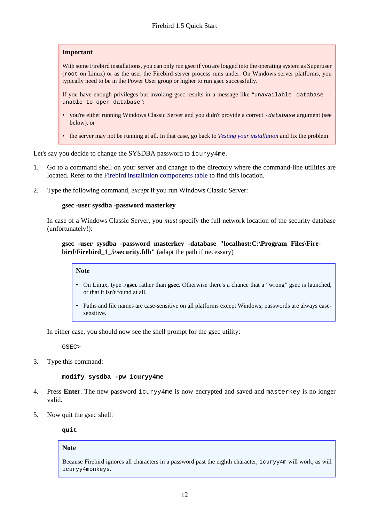#### **Important**

With some Firebird installations, you can only run gsec if you are logged into the operating system as Superuser (root on Linux) or as the user the Firebird server process runs under. On Windows server platforms, you typically need to be in the Power User group or higher to run gsec successfully.

If you have enough privileges but invoking gsec results in a message like "unavailable database unable to open database":

- vou're either running Windows Classic Server and you didn't provide a correct -database argument (see below), or
- the server may not be running at all. In that case, go back to *[Testing your installation](#page-6-0)* and fix the problem.

Let's say you decide to change the SYSDBA password to icuryy4me.

- 1. Go to a command shell on your server and change to the directory where the command-line utilities are located. Refer to the [Firebird installation components table](#page-4-1) to find this location.
- 2. Type the following command, *except* if you run Windows Classic Server:

#### **gsec -user sysdba -password masterkey**

In case of a Windows Classic Server, you *must* specify the full network location of the security database (unfortunately!):

#### **gsec -user sysdba -password masterkey -database "localhost:C:\Program Files\Firebird\Firebird 1.5\security.fdb"** (adapt the path if necessary)

## **Note**

- On Linux, type **./gsec** rather than **gsec**. Otherwise there's a chance that a "wrong" gsec is launched, or that it isn't found at all.
- Paths and file names are case-sensitive on all platforms except Windows; passwords are always casesensitive.

In either case, you should now see the shell prompt for the gsec utility:

GSEC>

3. Type this command:

#### **modify sysdba -pw icuryy4me**

- 4. Press **Enter**. The new password icuryy4me is now encrypted and saved and masterkey is no longer valid.
- 5. Now quit the gsec shell:

**quit**

#### **Note**

Because Firebird ignores all characters in a password past the eighth character, icuryy4m will work, as will icuryy4monkeys.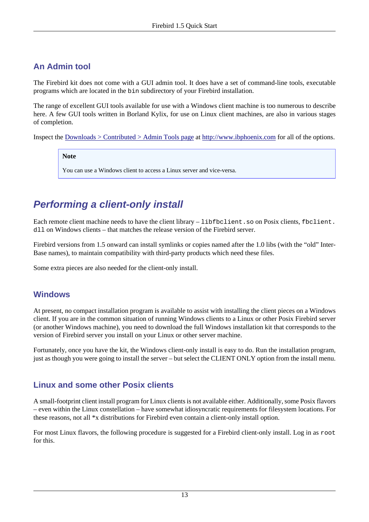## <span id="page-12-1"></span>**An Admin tool**

The Firebird kit does not come with a GUI admin tool. It does have a set of command-line tools, executable programs which are located in the bin subdirectory of your Firebird installation.

The range of excellent GUI tools available for use with a Windows client machine is too numerous to describe here. A few GUI tools written in Borland Kylix, for use on Linux client machines, are also in various stages of completion.

Inspect the [Downloads > Contributed > Admin Tools page](http://www.ibphoenix.com/main.nfs?a=ibphoenix&page=ibp_contrib_download#ADM) at<http://www.ibphoenix.com>for all of the options.

**Note**

You can use a Windows client to access a Linux server and vice-versa.

# <span id="page-12-2"></span><span id="page-12-0"></span>**Performing a client-only install**

Each remote client machine needs to have the client library – libfbclient. so on Posix clients, fbclient. dll on Windows clients – that matches the release version of the Firebird server.

Firebird versions from 1.5 onward can install symlinks or copies named after the 1.0 libs (with the "old" Inter-Base names), to maintain compatibility with third-party products which need these files.

Some extra pieces are also needed for the client-only install.

## **Windows**

At present, no compact installation program is available to assist with installing the client pieces on a Windows client. If you are in the common situation of running Windows clients to a Linux or other Posix Firebird server (or another Windows machine), you need to download the full Windows installation kit that corresponds to the version of Firebird server you install on your Linux or other server machine.

Fortunately, once you have the kit, the Windows client-only install is easy to do. Run the installation program, just as though you were going to install the server – but select the CLIENT ONLY option from the install menu.

## **Linux and some other Posix clients**

A small-footprint client install program for Linux clients is not available either. Additionally, some Posix flavors – even within the Linux constellation – have somewhat idiosyncratic requirements for filesystem locations. For these reasons, not all \*x distributions for Firebird even contain a client-only install option.

For most Linux flavors, the following procedure is suggested for a Firebird client-only install. Log in as root for this.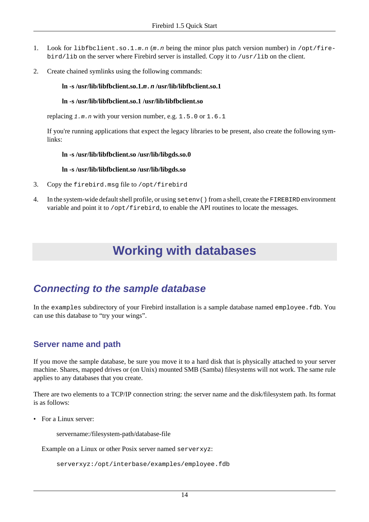- 1. Look for libfbclient.so.1.m.n (m.n being the minor plus patch version number) in /opt/firebird/lib on the server where Firebird server is installed. Copy it to /usr/lib on the client.
- 2. Create chained symlinks using the following commands:

### **ln -s /usr/lib/libfbclient.so.1.m.n /usr/lib/libfbclient.so.1**

### **ln -s /usr/lib/libfbclient.so.1 /usr/lib/libfbclient.so**

replacing  $1 \cdot m \cdot n$  with your version number, e.g.  $1 \cdot 5 \cdot 0$  or  $1 \cdot 6 \cdot 1$ 

If you're running applications that expect the legacy libraries to be present, also create the following symlinks:

### **ln -s /usr/lib/libfbclient.so /usr/lib/libgds.so.0**

#### **ln -s /usr/lib/libfbclient.so /usr/lib/libgds.so**

- 3. Copy the firebird.msg file to /opt/firebird
- <span id="page-13-0"></span>4. In the system-wide default shell profile, or using setenv() from a shell, create the FIREBIRD environment variable and point it to  $\sqrt{\text{opt/first}}$ , to enable the API routines to locate the messages.

# **Working with databases**

# <span id="page-13-2"></span><span id="page-13-1"></span>**Connecting to the sample database**

In the examples subdirectory of your Firebird installation is a sample database named employee.fdb. You can use this database to "try your wings".

## <span id="page-13-3"></span>**Server name and path**

If you move the sample database, be sure you move it to a hard disk that is physically attached to your server machine. Shares, mapped drives or (on Unix) mounted SMB (Samba) filesystems will not work. The same rule applies to any databases that you create.

There are two elements to a TCP/IP connection string: the server name and the disk/filesystem path. Its format is as follows:

• For a Linux server:

servername:/filesystem-path/database-file

Example on a Linux or other Posix server named serverxyz:

```
serverxyz:/opt/interbase/examples/employee.fdb
```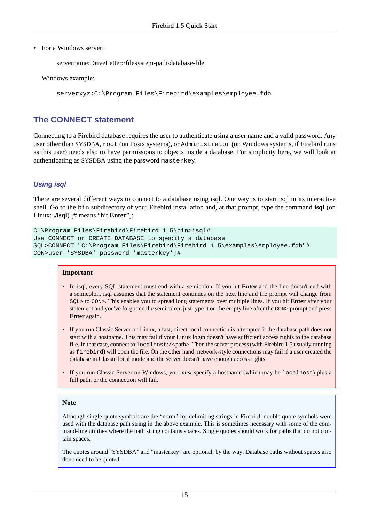• For a Windows server:

```
servername:DriveLetter:\filesystem-path\database-file
```
Windows example:

serverxyz:C:\Program Files\Firebird\examples\employee.fdb

## <span id="page-14-0"></span>**The CONNECT statement**

Connecting to a Firebird database requires the user to authenticate using a user name and a valid password. Any user other than SYSDBA, root (on Posix systems), or Administrator (on Windows systems, if Firebird runs as this user) needs also to have permissions to objects inside a database. For simplicity here, we will look at authenticating as SYSDBA using the password masterkey.

## <span id="page-14-1"></span>**Using isql**

There are several different ways to connect to a database using isql. One way is to start isql in its interactive shell. Go to the bin subdirectory of your Firebird installation and, at that prompt, type the command **isql** (on Linux: **./isql**) [# means "hit **Enter**"]:

```
C:\Program Files\Firebird\Firebird_1_5\bin>isql#
Use CONNECT or CREATE DATABASE to specify a database
SQL>CONNECT "C:\Program Files\Firebird\Firebird_1_5\examples\employee.fdb"#
CON>user 'SYSDBA' password 'masterkey';#
```
#### **Important**

- In isql, every SQL statement must end with a semicolon. If you hit **Enter** and the line doesn't end with a semicolon, isql assumes that the statement continues on the next line and the prompt will change from SQL> to CON>. This enables you to spread long statements over multiple lines. If you hit **Enter** after your statement and you've forgotten the semicolon, just type it on the empty line after the CON> prompt and press **Enter** again.
- If you run Classic Server on Linux, a fast, direct local connection is attempted if the database path does not start with a hostname. This may fail if your Linux login doesn't have sufficient access rights to the database file. In that case, connect to  $1$  ocal host:/ $\langle$ path>. Then the server process (with Firebird 1.5 usually running as firebird) will open the file. On the other hand, network-style connections may fail if a user created the database in Classic local mode and the server doesn't have enough access rights.
- If you run Classic Server on Windows, you *must* specify a hostname (which may be localhost) plus a full path, or the connection will fail.

#### **Note**

Although single quote symbols are the "norm" for delimiting strings in Firebird, double quote symbols were used with the database path string in the above example. This is sometimes necessary with some of the command-line utilities where the path string contains spaces. Single quotes should work for paths that do not contain spaces.

The quotes around "SYSDBA" and "masterkey" are optional, by the way. Database paths without spaces also don't need to be quoted.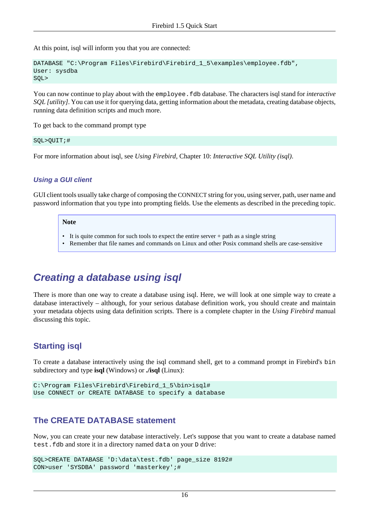At this point, isql will inform you that you are connected:

```
DATABASE "C:\Program Files\Firebird\Firebird_1_5\examples\employee.fdb",
User: sysdba
SQL>
```
You can now continue to play about with the employee. fdb database. The characters isql stand for *interactive SQL [utility]*. You can use it for querying data, getting information about the metadata, creating database objects, running data definition scripts and much more.

To get back to the command prompt type

```
SQL>QUIT;#
```
For more information about isql, see *Using Firebird*, Chapter 10: *Interactive SQL Utility (isql)*.

### <span id="page-15-2"></span>**Using a GUI client**

GUI client tools usually take charge of composing the CONNECT string for you, using server, path, user name and password information that you type into prompting fields. Use the elements as described in the preceding topic.

#### **Note**

- It is quite common for such tools to expect the entire server + path as a single string
- Remember that file names and commands on Linux and other Posix command shells are case-sensitive

# <span id="page-15-3"></span><span id="page-15-0"></span>**Creating a database using isql**

There is more than one way to create a database using isql. Here, we will look at one simple way to create a database interactively – although, for your serious database definition work, you should create and maintain your metadata objects using data definition scripts. There is a complete chapter in the *Using Firebird* manual discussing this topic.

## **Starting isql**

To create a database interactively using the isql command shell, get to a command prompt in Firebird's bin subdirectory and type **isql** (Windows) or **./isql** (Linux):

```
C:\Program Files\Firebird\Firebird_1_5\bin>isql#
Use CONNECT or CREATE DATABASE to specify a database
```
## <span id="page-15-1"></span>**The CREATE DATABASE statement**

Now, you can create your new database interactively. Let's suppose that you want to create a database named test.fdb and store it in a directory named data on your D drive:

```
SQL>CREATE DATABASE 'D:\data\test.fdb' page_size 8192#
CON>user 'SYSDBA' password 'masterkey';#
```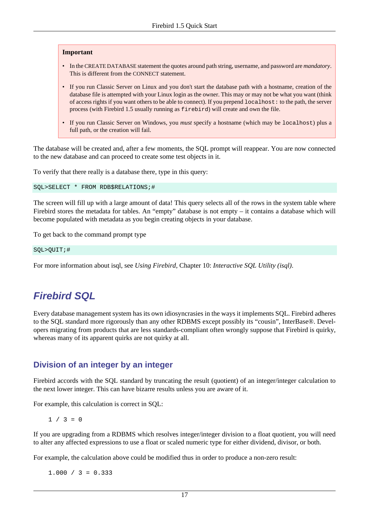#### **Important**

- In the CREATE DATABASE statement the quotes around path string, username, and password are *mandatory*. This is different from the CONNECT statement.
- If you run Classic Server on Linux and you don't start the database path with a hostname, creation of the database file is attempted with your Linux login as the owner. This may or may not be what you want (think of access rights if you want others to be able to connect). If you prepend localhost: to the path, the server process (with Firebird 1.5 usually running as firebird) will create and own the file.
- If you run Classic Server on Windows, you *must* specify a hostname (which may be localhost) plus a full path, or the creation will fail.

The database will be created and, after a few moments, the SQL prompt will reappear. You are now connected to the new database and can proceed to create some test objects in it.

To verify that there really is a database there, type in this query:

SQL>SELECT \* FROM RDB\$RELATIONS;#

The screen will fill up with a large amount of data! This query selects all of the rows in the system table where Firebird stores the metadata for tables. An "empty" database is not empty – it contains a database which will become populated with metadata as you begin creating objects in your database.

To get back to the command prompt type

SQL>QUIT;#

<span id="page-16-0"></span>For more information about isql, see *Using Firebird*, Chapter 10: *Interactive SQL Utility (isql)*.

# <span id="page-16-1"></span>**Firebird SQL**

Every database management system has its own idiosyncrasies in the ways it implements SQL. Firebird adheres to the SQL standard more rigorously than any other RDBMS except possibly its "cousin", InterBase®. Developers migrating from products that are less standards-compliant often wrongly suppose that Firebird is quirky, whereas many of its apparent quirks are not quirky at all.

## <span id="page-16-2"></span>**Division of an integer by an integer**

Firebird accords with the SQL standard by truncating the result (quotient) of an integer/integer calculation to the next lower integer. This can have bizarre results unless you are aware of it.

For example, this calculation is correct in SQL:

```
1 / 3 = 0
```
If you are upgrading from a RDBMS which resolves integer/integer division to a float quotient, you will need to alter any affected expressions to use a float or scaled numeric type for either dividend, divisor, or both.

For example, the calculation above could be modified thus in order to produce a non-zero result:

 $1.000 / 3 = 0.333$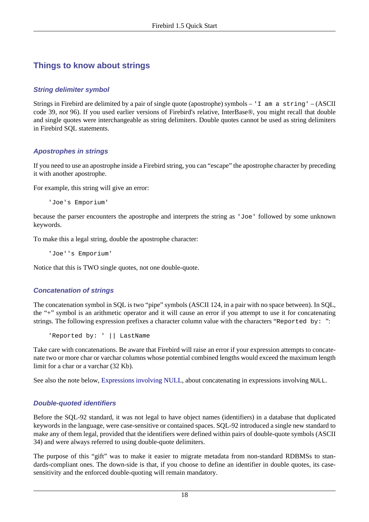## **Things to know about strings**

## <span id="page-17-3"></span>**String delimiter symbol**

Strings in Firebird are delimited by a pair of single quote (apostrophe) symbols – 'I am a string' – (ASCII code 39, *not* 96). If you used earlier versions of Firebird's relative, InterBase®, you might recall that double and single quotes were interchangeable as string delimiters. Double quotes cannot be used as string delimiters in Firebird SQL statements.

## <span id="page-17-0"></span>**Apostrophes in strings**

If you need to use an apostrophe inside a Firebird string, you can "escape" the apostrophe character by preceding it with another apostrophe.

For example, this string will give an error:

'Joe's Emporium'

because the parser encounters the apostrophe and interprets the string as 'Joe' followed by some unknown keywords.

To make this a legal string, double the apostrophe character:

'Joe''s Emporium'

Notice that this is TWO single quotes, not one double-quote.

## <span id="page-17-2"></span>**Concatenation of strings**

The concatenation symbol in SQL is two "pipe" symbols (ASCII 124, in a pair with no space between). In SQL, the "+" symbol is an arithmetic operator and it will cause an error if you attempt to use it for concatenating strings. The following expression prefixes a character column value with the characters "Reported by: ":

'Reported by: ' || LastName

Take care with concatenations. Be aware that Firebird will raise an error if your expression attempts to concatenate two or more char or varchar columns whose potential combined lengths would exceed the maximum length limit for a char or a varchar (32 Kb).

See also the note below, [Expressions involving NULL,](#page-18-0) about concatenating in expressions involving NULL.

## <span id="page-17-1"></span>**Double-quoted identifiers**

Before the SQL-92 standard, it was not legal to have object names (identifiers) in a database that duplicated keywords in the language, were case-sensitive or contained spaces. SQL-92 introduced a single new standard to make any of them legal, provided that the identifiers were defined within pairs of double-quote symbols (ASCII 34) and were always referred to using double-quote delimiters.

The purpose of this "gift" was to make it easier to migrate metadata from non-standard RDBMSs to standards-compliant ones. The down-side is that, if you choose to define an identifier in double quotes, its casesensitivity and the enforced double-quoting will remain mandatory.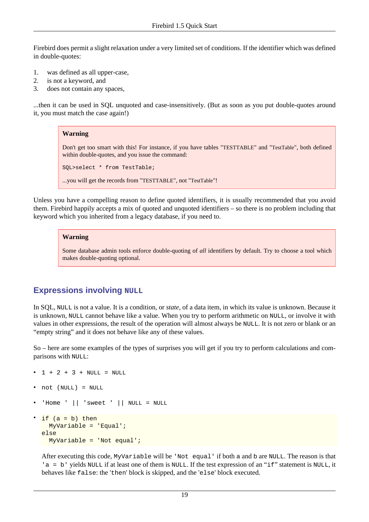Firebird does permit a slight relaxation under a very limited set of conditions. If the identifier which was defined in double-quotes:

- 1. was defined as all upper-case,
- 2. is not a keyword, and
- 3. does not contain any spaces,

...then it can be used in SQL unquoted and case-insensitively. (But as soon as you put double-quotes around it, you must match the case again!)

#### **Warning**

Don't get too smart with this! For instance, if you have tables "TESTTABLE" and "TestTable", both defined within double-quotes, and you issue the command:

SQL>select \* from TestTable;

...you will get the records from "TESTTABLE", not "TestTable"!

Unless you have a compelling reason to define quoted identifiers, it is usually recommended that you avoid them. Firebird happily accepts a mix of quoted and unquoted identifiers – so there is no problem including that keyword which you inherited from a legacy database, if you need to.

#### **Warning**

Some database admin tools enforce double-quoting of *all* identifiers by default. Try to choose a tool which makes double-quoting optional.

## <span id="page-18-1"></span><span id="page-18-0"></span>**Expressions involving NULL**

In SQL, NULL is not a value. It is a condition, or *state*, of a data item, in which its value is unknown. Because it is unknown, NULL cannot behave like a value. When you try to perform arithmetic on NULL, or involve it with values in other expressions, the result of the operation will almost always be NULL. It is not zero or blank or an "empty string" and it does not behave like any of these values.

So – here are some examples of the types of surprises you will get if you try to perform calculations and comparisons with NULL:

```
1 + 2 + 3 + NULL = NULL
```
- not (NULL) = NULL
- 'Home '  $||$  'sweet '  $||$  NULL = NULL

```
if (a = b) then
   MyVariable = 'Equal';
else
   MyVariable = 'Not equal';
```
After executing this code, MyVariable will be 'Not equal' if both a and b are NULL. The reason is that 'a = b' yields NULL if at least one of them is NULL. If the test expression of an "if" statement is NULL, it behaves like false: the 'then' block is skipped, and the 'else' block executed.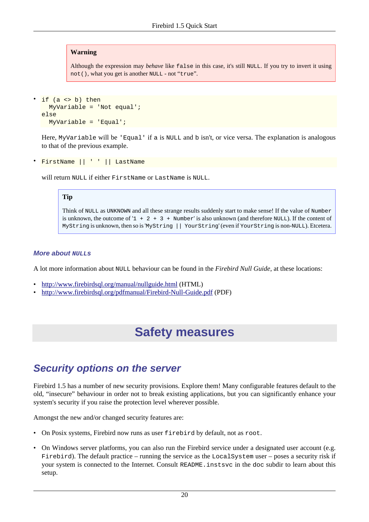### **Warning**

Although the expression may *behave* like false in this case, it's still NULL. If you try to invert it using not(), what you get is another NULL - not "true".

```
if (a \leftrightarrow b) then
    MyVariable = 'Not equal';
else
   MyVariable = 'Equal';
```
Here, MyVariable will be 'Equal' if a is NULL and b isn't, or vice versa. The explanation is analogous to that of the previous example.

• FirstName || ' ' || LastName

will return NULL if either FirstName or LastName is NULL.

#### **Tip**

Think of NULL as UNKNOWN and all these strange results suddenly start to make sense! If the value of Number is unknown, the outcome of  $1 + 2 + 3 +$  Number' is also unknown (and therefore NULL). If the content of MyString is unknown, then so is 'MyString || YourString' (even if YourString is non-NULL). Etcetera.

#### **More about NULLs**

A lot more information about NULL behaviour can be found in the *Firebird Null Guide*, at these locations:

- <http://www.firebirdsql.org/manual/nullguide.html> (HTML)
- <span id="page-19-0"></span>• <http://www.firebirdsql.org/pdfmanual/Firebird-Null-Guide.pdf> (PDF)

# **Safety measures**

## <span id="page-19-2"></span><span id="page-19-1"></span>**Security options on the server**

Firebird 1.5 has a number of new security provisions. Explore them! Many configurable features default to the old, "insecure" behaviour in order not to break existing applications, but you can significantly enhance your system's security if you raise the protection level wherever possible.

Amongst the new and/or changed security features are:

- On Posix systems, Firebird now runs as user firebird by default, not as root.
- On Windows server platforms, you can also run the Firebird service under a designated user account (e.g. Firebird). The default practice – running the service as the LocalSystem user – poses a security risk if your system is connected to the Internet. Consult README.instsvc in the doc subdir to learn about this setup.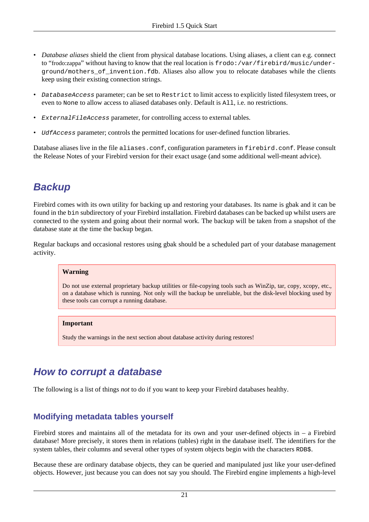- <span id="page-20-2"></span>• *Database aliases* shield the client from physical database locations. Using aliases, a client can e.g. connect to "frodo:zappa" without having to know that the real location is frodo:/var/firebird/music/underground/mothers\_of\_invention.fdb. Aliases also allow you to relocate databases while the clients keep using their existing connection strings.
- DatabaseAccess parameter; can be set to Restrict to limit access to explicitly listed filesystem trees, or even to None to allow access to aliased databases only. Default is All, i.e. no restrictions.
- ExternalFileAccess parameter, for controlling access to external tables.
- *UdfAccess* parameter; controls the permitted locations for user-defined function libraries.

<span id="page-20-0"></span>Database aliases live in the file aliases.conf, configuration parameters in firebird.conf. Please consult the Release Notes of your Firebird version for their exact usage (and some additional well-meant advice).

# <span id="page-20-3"></span>**Backup**

Firebird comes with its own utility for backing up and restoring your databases. Its name is gbak and it can be found in the bin subdirectory of your Firebird installation. Firebird databases can be backed up whilst users are connected to the system and going about their normal work. The backup will be taken from a snapshot of the database state at the time the backup began.

Regular backups and occasional restores using gbak should be a scheduled part of your database management activity.

### **Warning**

Do not use external proprietary backup utilities or file-copying tools such as WinZip, tar, copy, xcopy, etc., on a database which is running. Not only will the backup be unreliable, but the disk-level blocking used by these tools can corrupt a running database.

### **Important**

Study the warnings in the next section about database activity during restores!

# <span id="page-20-4"></span><span id="page-20-1"></span>**How to corrupt a database**

The following is a list of things *not* to do if you want to keep your Firebird databases healthy.

## <span id="page-20-5"></span>**Modifying metadata tables yourself**

Firebird stores and maintains all of the metadata for its own and your user-defined objects in – a Firebird database! More precisely, it stores them in relations (tables) right in the database itself. The identifiers for the system tables, their columns and several other types of system objects begin with the characters RDB\$.

Because these are ordinary database objects, they can be queried and manipulated just like your user-defined objects. However, just because you can does not say you should. The Firebird engine implements a high-level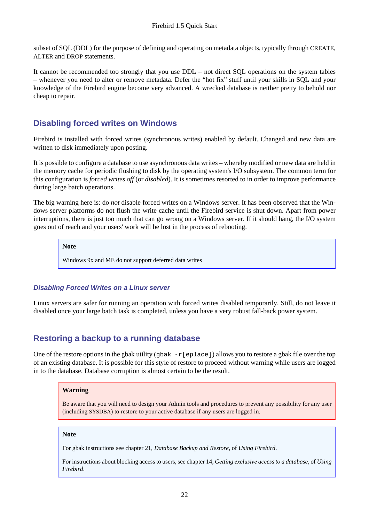subset of SQL (DDL) for the purpose of defining and operating on metadata objects, typically through CREATE, ALTER and DROP statements.

It cannot be recommended too strongly that you use DDL – not direct SQL operations on the system tables – whenever you need to alter or remove metadata. Defer the "hot fix" stuff until your skills in SQL and your knowledge of the Firebird engine become very advanced. A wrecked database is neither pretty to behold nor cheap to repair.

## <span id="page-21-1"></span>**Disabling forced writes on Windows**

Firebird is installed with forced writes (synchronous writes) enabled by default. Changed and new data are written to disk immediately upon posting.

It is possible to configure a database to use asynchronous data writes – whereby modified or new data are held in the memory cache for periodic flushing to disk by the operating system's I/O subsystem. The common term for this configuration is *forced writes off* (or *disabled*). It is sometimes resorted to in order to improve performance during large batch operations.

The big warning here is: do *not* disable forced writes on a Windows server. It has been observed that the Windows server platforms do not flush the write cache until the Firebird service is shut down. Apart from power interruptions, there is just too much that can go wrong on a Windows server. If it should hang, the I/O system goes out of reach and your users' work will be lost in the process of rebooting.

**Note**

Windows 9x and ME do not support deferred data writes

### **Disabling Forced Writes on a Linux server**

Linux servers are safer for running an operation with forced writes disabled temporarily. Still, do not leave it disabled once your large batch task is completed, unless you have a very robust fall-back power system.

## <span id="page-21-0"></span>**Restoring a backup to a running database**

One of the restore options in the gbak utility (qbak  $-r[eplace]$ ) allows you to restore a gbak file over the top of an existing database. It is possible for this style of restore to proceed without warning while users are logged in to the database. Database corruption is almost certain to be the result.

#### **Warning**

Be aware that you will need to design your Admin tools and procedures to prevent any possibility for any user (including SYSDBA) to restore to your active database if any users are logged in.

#### **Note**

For gbak instructions see chapter 21, *Database Backup and Restore*, of *Using Firebird*.

For instructions about blocking access to users, see chapter 14, *Getting exclusive access to a database*, of *Using Firebird*.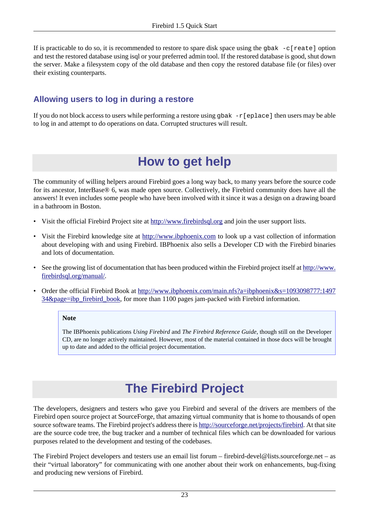If is practicable to do so, it is recommended to restore to spare disk space using the gbak  $-c$ [reate] option and test the restored database using isql or your preferred admin tool. If the restored database is good, shut down the server. Make a filesystem copy of the old database and then copy the restored database file (or files) over their existing counterparts.

## <span id="page-22-3"></span>**Allowing users to log in during a restore**

<span id="page-22-0"></span>If you do not block access to users while performing a restore using gbak  $-r[$ eplace] then users may be able to log in and attempt to do operations on data. Corrupted structures will result.

# <span id="page-22-4"></span>**How to get help**

The community of willing helpers around Firebird goes a long way back, to many years before the source code for its ancestor, InterBase® 6, was made open source. Collectively, the Firebird community does have all the answers! It even includes some people who have been involved with it since it was a design on a drawing board in a bathroom in Boston.

- Visit the official Firebird Project site at <http://www.firebirdsql.org>and join the user support lists.
- Visit the Firebird knowledge site at <http://www.ibphoenix.com>to look up a vast collection of information about developing with and using Firebird. IBPhoenix also sells a Developer CD with the Firebird binaries and lots of documentation.
- See the growing list of documentation that has been produced within the Firebird project itself at [http://www.](http://www.firebirdsql.org/manual/) [firebirdsql.org/manual/.](http://www.firebirdsql.org/manual/)
- <span id="page-22-2"></span>• Order the official Firebird Book at [http://www.ibphoenix.com/main.nfs?a=ibphoenix&s=1093098777:1497](http://www.ibphoenix.com/main.nfs?a=ibphoenix&s=1093098777:149734&page=ibp_firebird_book) [34&page=ibp\\_firebird\\_book,](http://www.ibphoenix.com/main.nfs?a=ibphoenix&s=1093098777:149734&page=ibp_firebird_book) for more than 1100 pages jam-packed with Firebird information.

#### **Note**

<span id="page-22-1"></span>The IBPhoenix publications *Using Firebird* and *The Firebird Reference Guide*, though still on the Developer CD, are no longer actively maintained. However, most of the material contained in those docs will be brought up to date and added to the official project documentation.

# <span id="page-22-5"></span>**The Firebird Project**

The developers, designers and testers who gave you Firebird and several of the drivers are members of the Firebird open source project at SourceForge, that amazing virtual community that is home to thousands of open source software teams. The Firebird project's address there is<http://sourceforge.net/projects/firebird>. At that site are the source code tree, the bug tracker and a number of technical files which can be downloaded for various purposes related to the development and testing of the codebases.

The Firebird Project developers and testers use an email list forum – firebird-devel@lists.sourceforge.net – as their "virtual laboratory" for communicating with one another about their work on enhancements, bug-fixing and producing new versions of Firebird.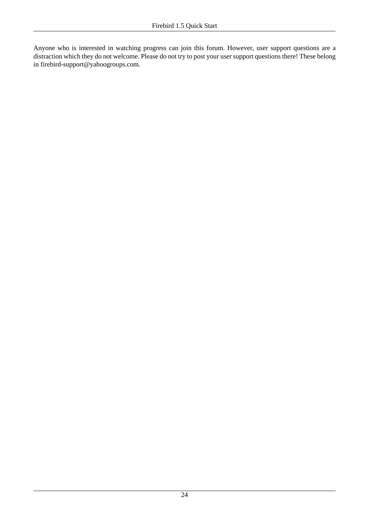Anyone who is interested in watching progress can join this forum. However, user support questions are a distraction which they do not welcome. Please do not try to post your user support questions there! These belong in firebird-support@yahoogroups.com.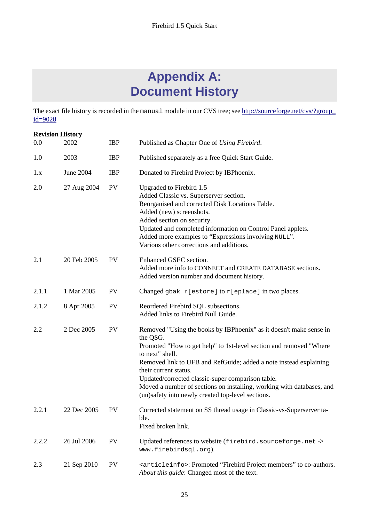# <span id="page-24-1"></span>**Appendix A: Document History**

<span id="page-24-0"></span>The exact file history is recorded in the manual module in our CVS tree; see [http://sourceforge.net/cvs/?group\\_](http://sourceforge.net/cvs/?group_id=9028) [id=9028](http://sourceforge.net/cvs/?group_id=9028)

| <b>Revision History</b> |             |            |                                                                                                                                                                                                                                                                                                                                                                                                                                                          |
|-------------------------|-------------|------------|----------------------------------------------------------------------------------------------------------------------------------------------------------------------------------------------------------------------------------------------------------------------------------------------------------------------------------------------------------------------------------------------------------------------------------------------------------|
| 0.0                     | 2002        | <b>IBP</b> | Published as Chapter One of Using Firebird.                                                                                                                                                                                                                                                                                                                                                                                                              |
| 1.0                     | 2003        | <b>IBP</b> | Published separately as a free Quick Start Guide.                                                                                                                                                                                                                                                                                                                                                                                                        |
| 1.x                     | June 2004   | <b>IBP</b> | Donated to Firebird Project by IBPhoenix.                                                                                                                                                                                                                                                                                                                                                                                                                |
| 2.0                     | 27 Aug 2004 | <b>PV</b>  | Upgraded to Firebird 1.5<br>Added Classic vs. Superserver section.<br>Reorganised and corrected Disk Locations Table.<br>Added (new) screenshots.<br>Added section on security.<br>Updated and completed information on Control Panel applets.<br>Added more examples to "Expressions involving NULL".<br>Various other corrections and additions.                                                                                                       |
| 2.1                     | 20 Feb 2005 | <b>PV</b>  | Enhanced GSEC section.<br>Added more info to CONNECT and CREATE DATABASE sections.<br>Added version number and document history.                                                                                                                                                                                                                                                                                                                         |
| 2.1.1                   | 1 Mar 2005  | PV         | Changed gbak r[estore] to r[eplace] in two places.                                                                                                                                                                                                                                                                                                                                                                                                       |
| 2.1.2                   | 8 Apr 2005  | PV         | Reordered Firebird SQL subsections.<br>Added links to Firebird Null Guide.                                                                                                                                                                                                                                                                                                                                                                               |
| 2.2                     | 2 Dec 2005  | <b>PV</b>  | Removed "Using the books by IBPhoenix" as it doesn't make sense in<br>the QSG.<br>Promoted "How to get help" to 1st-level section and removed "Where<br>to next" shell.<br>Removed link to UFB and RefGuide; added a note instead explaining<br>their current status.<br>Updated/corrected classic-super comparison table.<br>Moved a number of sections on installing, working with databases, and<br>(un)safety into newly created top-level sections. |
| 2.2.1                   | 22 Dec 2005 | PV         | Corrected statement on SS thread usage in Classic-vs-Superserver ta-<br>ble.<br>Fixed broken link.                                                                                                                                                                                                                                                                                                                                                       |
| 2.2.2                   | 26 Jul 2006 | PV         | Updated references to website (firebird.sourceforge.net -><br>www.firebirdsql.org).                                                                                                                                                                                                                                                                                                                                                                      |
| 2.3                     | 21 Sep 2010 | <b>PV</b>  | <articleinfo>: Promoted "Firebird Project members" to co-authors.<br/>About this guide: Changed most of the text.</articleinfo>                                                                                                                                                                                                                                                                                                                          |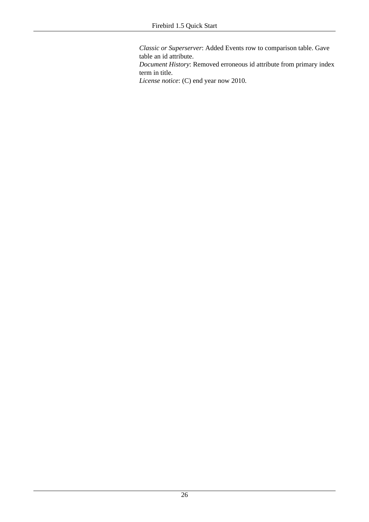*Classic or Superserver*: Added Events row to comparison table. Gave table an id attribute.

*Document History*: Removed erroneous id attribute from primary index term in title.

*License notice*: (C) end year now 2010.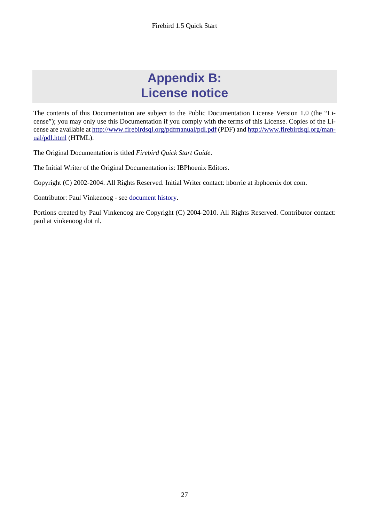# <span id="page-26-1"></span>**Appendix B: License notice**

<span id="page-26-0"></span>The contents of this Documentation are subject to the Public Documentation License Version 1.0 (the "License"); you may only use this Documentation if you comply with the terms of this License. Copies of the License are available at<http://www.firebirdsql.org/pdfmanual/pdl.pdf> (PDF) and [http://www.firebirdsql.org/man](http://www.firebirdsql.org/manual/pdl.html)[ual/pdl.html](http://www.firebirdsql.org/manual/pdl.html) (HTML).

The Original Documentation is titled *Firebird Quick Start Guide*.

The Initial Writer of the Original Documentation is: IBPhoenix Editors.

Copyright (C) 2002-2004. All Rights Reserved. Initial Writer contact: hborrie at ibphoenix dot com.

Contributor: Paul Vinkenoog - see [document history.](#page-24-0)

Portions created by Paul Vinkenoog are Copyright (C) 2004-2010. All Rights Reserved. Contributor contact: paul at vinkenoog dot nl.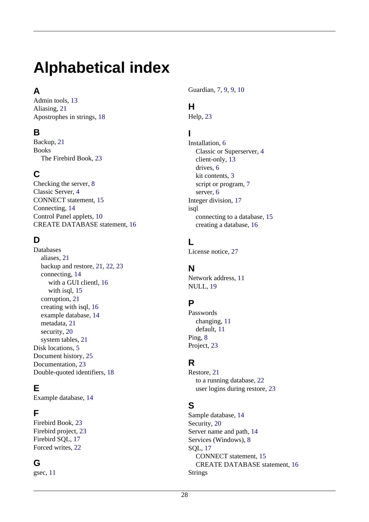# <span id="page-27-0"></span>**Alphabetical index**

## **A**

Admin tools, [13](#page-12-1) Aliasing, [21](#page-20-2) Apostrophes in strings, [18](#page-17-0)

## **B**

Backup, [21](#page-20-3) Books The Firebird Book, [23](#page-22-2)

# **C**

Checking the server, [8](#page-7-0) Classic Server, [4](#page-3-1) CONNECT statement, [15](#page-14-0) Connecting, [14](#page-13-2) Control Panel applets, [10](#page-9-0) CREATE DATABASE statement, [16](#page-15-1)

## **D**

Databases aliases, [21](#page-20-2) backup and restore, [21,](#page-20-3) [22](#page-21-0), [23](#page-22-3) connecting, [14](#page-13-2) with a GUI clientl, [16](#page-15-2) with isql, [15](#page-14-1) corruption, [21](#page-20-4) creating with isql, [16](#page-15-3) example database, [14](#page-13-2) metadata, [21](#page-20-5) security, [20](#page-19-2) system tables, [21](#page-20-5) Disk locations, [5](#page-4-2) Document history, [25](#page-24-1) Documentation, [23](#page-22-4) Double-quoted identifiers, [18](#page-17-1)

# **E**

Example database, [14](#page-13-2)

## **F**

Firebird Book, [23](#page-22-2) Firebird project, [23](#page-22-5) Firebird SQL, [17](#page-16-1) Forced writes, [22](#page-21-1)

## **G**

gsec, [11](#page-10-1)

Guardian, [7,](#page-6-1) [9,](#page-8-0) [9,](#page-8-1) [10](#page-9-1)

## **H**

Help, [23](#page-22-4)

## **I**

```
Installation, 6
  Classic or Superserver, 4
  client-only, 13
  drives, 6
  kit contents, 3
  script or program, 7
  server, 6
Integer division, 17
isql
  connecting to a database, 15
  creating a database, 16
```
# **L**

License notice, [27](#page-26-1)

## **N**

Network address, [11](#page-10-2) NULL, [19](#page-18-1)

## **P**

Passwords changing, [11](#page-10-1) default, [11](#page-10-3) Ping, [8](#page-7-1) Project, [23](#page-22-5)

## **R**

Restore, [21](#page-20-3) to a running database, [22](#page-21-0) user logins during restore, [23](#page-22-3)

# **S**

Sample database, [14](#page-13-2) Security, [20](#page-19-2) Server name and path, [14](#page-13-3) Services (Windows), [8](#page-7-2) SQL, [17](#page-16-1) CONNECT statement, [15](#page-14-0) CREATE DATABASE statement, [16](#page-15-1) Strings